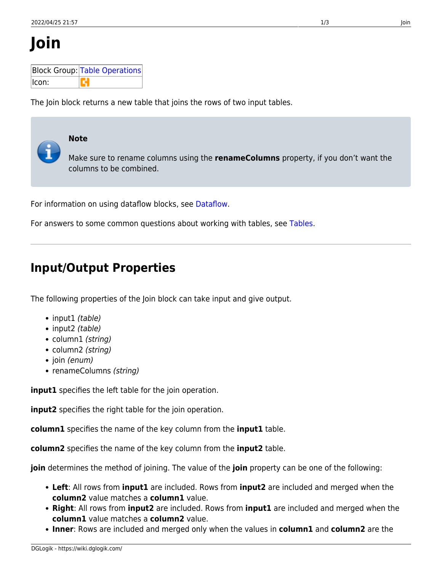# **Join**

|        | Block Group: Table Operations |  |  |  |  |  |  |
|--------|-------------------------------|--|--|--|--|--|--|
| llcon: |                               |  |  |  |  |  |  |

The Join block returns a new table that joins the rows of two input tables.

# **Note**

Make sure to rename columns using the **renameColumns** property, if you don't want the columns to be combined.

For information on using dataflow blocks, see [Dataflow](https://wiki.dglogik.com/dglux5_wiki:dataflow:home).

For answers to some common questions about working with tables, see [Tables.](https://wiki.dglogik.com/dglux5_wiki:dataflow:working_with_tables:home)

## **Input/Output Properties**

The following properties of the Join block can take input and give output.

- input1 (table)
- input2 (table)
- column1 (string)
- column2 (string)
- join (enum)
- renameColumns (string)

**input1** specifies the left table for the join operation.

**input2** specifies the right table for the join operation.

**column1** specifies the name of the key column from the **input1** table.

**column2** specifies the name of the key column from the **input2** table.

**join** determines the method of joining. The value of the **join** property can be one of the following:

- **Left**: All rows from **input1** are included. Rows from **input2** are included and merged when the **column2** value matches a **column1** value.
- **Right**: All rows from **input2** are included. Rows from **input1** are included and merged when the **column1** value matches a **column2** value.
- **Inner**: Rows are included and merged only when the values in **column1** and **column2** are the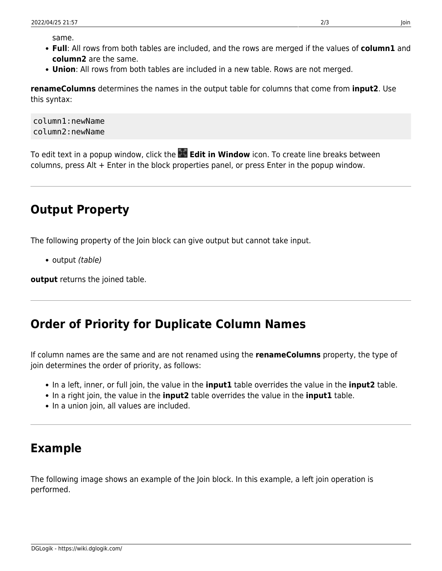same.

- **Full**: All rows from both tables are included, and the rows are merged if the values of **column1** and **column2** are the same.
- **Union**: All rows from both tables are included in a new table. Rows are not merged.

**renameColumns** determines the names in the output table for columns that come from **input2**. Use this syntax:

column1:newName column2:newName

To edit text in a popup window, click the **Edit in Window** icon. To create line breaks between columns, press Alt + Enter in the block properties panel, or press Enter in the popup window.

## **Output Property**

The following property of the Join block can give output but cannot take input.

• output *(table)* 

**output** returns the joined table.

#### **Order of Priority for Duplicate Column Names**

If column names are the same and are not renamed using the **renameColumns** property, the type of join determines the order of priority, as follows:

- In a left, inner, or full join, the value in the **input1** table overrides the value in the **input2** table.
- In a right join, the value in the **input2** table overrides the value in the **input1** table.
- In a union join, all values are included.

### **Example**

The following image shows an example of the Join block. In this example, a left join operation is performed.